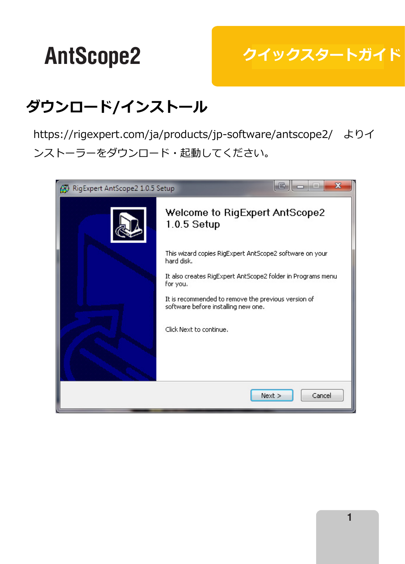# <mark>レクイックスタートガイド</mark>

## **Downloading and installing ダウンロード/インストール**

https://rigexpert.com/ja/products/jp-software/antscope2/ よりイ ンストーラーをダウンロード・起動してください。

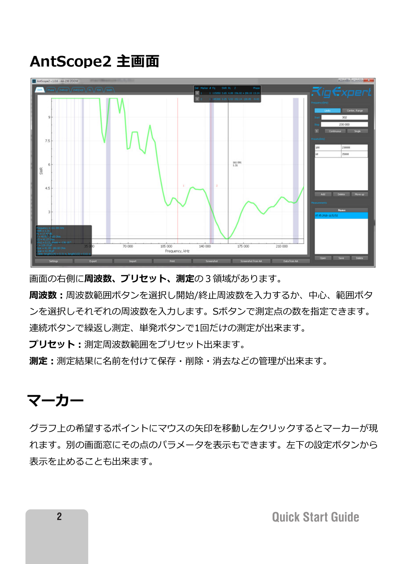#### **Typical AntScope2 screen AntScope2 主画面**



 $I = \frac{1}{2}$ 画面の右側に**周波数、プリセット、測定**の3領域があります。

**周波数:**周波数範囲ボタンを選択し開始/終止周波数を人力するか、中心、範囲ボタ ンを選択しそれぞれの周波数を入力します。Sボタンで測定点の数を指定できます。

連続ボタンで繰返し測定、単発ボタンで1回だけの測定が出来ます。 **Presets** is used to save frequently used frequency ranges.

**フリセット:**測定周波数範囲をプリセット出来ます。

**測定:**測定結果に名前を付けて保存・削除・消去などの管理が出来ます。

#### $\rightarrow$   $\rightarrow$ **マーカー**

Click mouse left button to go over to install marker and click again to put marker. クラフ上の希望するポイントにマウスの矢印を移動し左クリックするとマーカーが現 れます。別の画面窓にその点のパラメータを表示もできます。左下の設定ボタンから 表示を止めることも出来ます。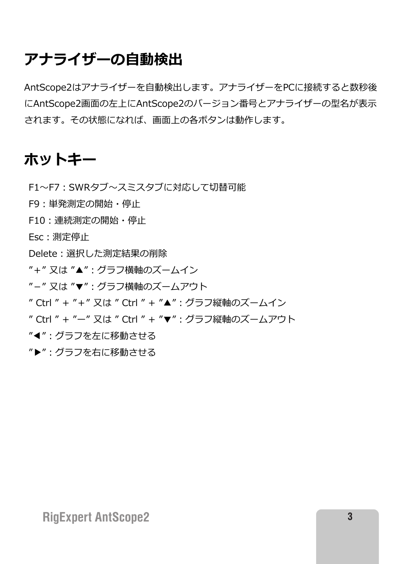### アナライザーの自動検出

AntScope2はアナライザーを自動検出します。アナライザーをPCに接続すると数秒後 にAntScope2画面の左上にAntScope2のバージョン番号とアナライザーの型名が表示 されます。その状態になれば、画面上の各ボタンは動作します。 Children's continuous and other will be continuous and  $\alpha$ 

## **HotKeys ホットキー**

F1~F7: SWRタブ~スミスタブに対応して切替可能

- $\overline{z}$   $\overline{z}$   $\overline{z}$   $\overline{z}$   $\overline{z}$   $\overline{z}$   $\overline{z}$   $\overline{z}$   $\overline{z}$   $\overline{z}$   $\overline{z}$   $\overline{z}$   $\overline{z}$   $\overline{z}$   $\overline{z}$   $\overline{z}$   $\overline{z}$   $\overline{z}$   $\overline{z}$   $\overline{z}$  F9 : 単発測定の開始・停止
- F10:連続測定の開始· 測定停止 F10:連続測定の開始・停止

Esc: 測定停止

 $\mathsf{D}_\mathsf{old}$  ,  $\mathbb{R}$ 扣 長洲宝红田小洲吟 Delete:選択した測定結果の削除

- " + " 又は "▲" : グラフ横軸のズームイン "+" 乂は "▲" : クラフ横軸のスームイン
- "−" 又は "▼" : グラフ横軸のズームアウト
- " Ctrl " + "+" 又は " Ctrl " + "▲": グラフ縦軸のズームイン
- "right arrow" move graph by horizontally to the right "▶" -- グラフを右に移動させる " Ctrl " + "ー" 又は " Ctrl " + "▼":グラフ縦軸のズームアウト
- "◀":グラフを左に移動させる
- "▶":グラフを右に移動させる